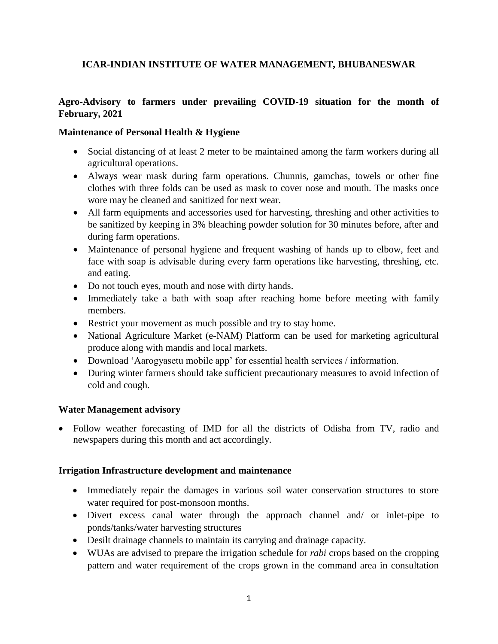# **ICAR-INDIAN INSTITUTE OF WATER MANAGEMENT, BHUBANESWAR**

# **Agro-Advisory to farmers under prevailing COVID-19 situation for the month of February, 2021**

#### **Maintenance of Personal Health & Hygiene**

- Social distancing of at least 2 meter to be maintained among the farm workers during all agricultural operations.
- Always wear mask during farm operations. Chunnis, gamchas, towels or other fine clothes with three folds can be used as mask to cover nose and mouth. The masks once wore may be cleaned and sanitized for next wear.
- All farm equipments and accessories used for harvesting, threshing and other activities to be sanitized by keeping in 3% bleaching powder solution for 30 minutes before, after and during farm operations.
- Maintenance of personal hygiene and frequent washing of hands up to elbow, feet and face with soap is advisable during every farm operations like harvesting, threshing, etc. and eating.
- Do not touch eyes, mouth and nose with dirty hands.
- Immediately take a bath with soap after reaching home before meeting with family members.
- Restrict your movement as much possible and try to stay home.
- National Agriculture Market (e-NAM) Platform can be used for marketing agricultural produce along with mandis and local markets.
- Download 'Aarogyasetu mobile app' for essential health services / information.
- During winter farmers should take sufficient precautionary measures to avoid infection of cold and cough.

## **Water Management advisory**

• Follow weather forecasting of IMD for all the districts of Odisha from TV, radio and newspapers during this month and act accordingly.

#### **Irrigation Infrastructure development and maintenance**

- Immediately repair the damages in various soil water conservation structures to store water required for post-monsoon months.
- Divert excess canal water through the approach channel and/ or inlet-pipe to ponds/tanks/water harvesting structures
- Desilt drainage channels to maintain its carrying and drainage capacity.
- WUAs are advised to prepare the irrigation schedule for *rabi* crops based on the cropping pattern and water requirement of the crops grown in the command area in consultation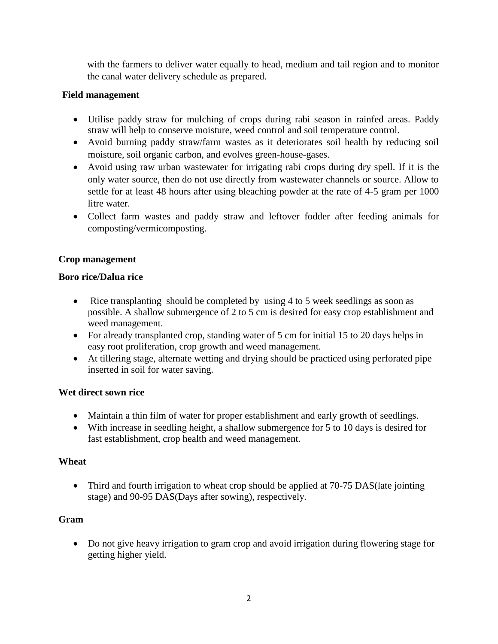with the farmers to deliver water equally to head, medium and tail region and to monitor the canal water delivery schedule as prepared.

# **Field management**

- Utilise paddy straw for mulching of crops during rabi season in rainfed areas. Paddy straw will help to conserve moisture, weed control and soil temperature control.
- Avoid burning paddy straw/farm wastes as it deteriorates soil health by reducing soil moisture, soil organic carbon, and evolves green-house-gases.
- Avoid using raw urban wastewater for irrigating rabi crops during dry spell. If it is the only water source, then do not use directly from wastewater channels or source. Allow to settle for at least 48 hours after using bleaching powder at the rate of 4-5 gram per 1000 litre water.
- Collect farm wastes and paddy straw and leftover fodder after feeding animals for composting/vermicomposting.

# **Crop management**

## **Boro rice/Dalua rice**

- Rice transplanting should be completed by using 4 to 5 week seedlings as soon as possible. A shallow submergence of 2 to 5 cm is desired for easy crop establishment and weed management.
- For already transplanted crop, standing water of 5 cm for initial 15 to 20 days helps in easy root proliferation, crop growth and weed management.
- At tillering stage, alternate wetting and drying should be practiced using perforated pipe inserted in soil for water saving.

## **Wet direct sown rice**

- Maintain a thin film of water for proper establishment and early growth of seedlings.
- With increase in seedling height, a shallow submergence for 5 to 10 days is desired for fast establishment, crop health and weed management.

## **Wheat**

• Third and fourth irrigation to wheat crop should be applied at 70-75 DAS (late jointing stage) and 90-95 DAS(Days after sowing), respectively.

# **Gram**

 Do not give heavy irrigation to gram crop and avoid irrigation during flowering stage for getting higher yield.